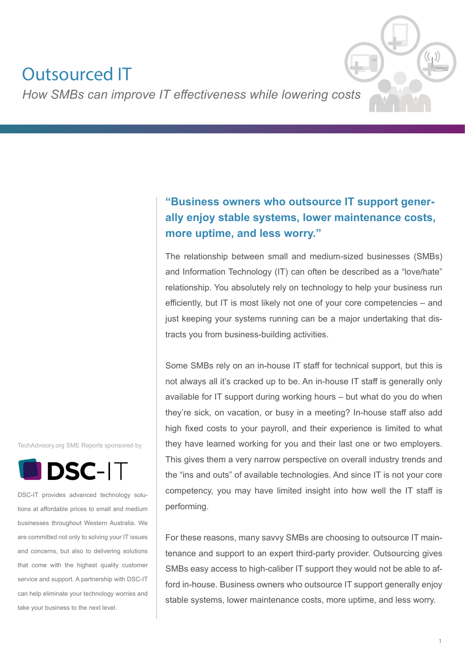# Outsourced IT

*How SMBs can improve IT effectiveness while lowering costs*

## **"Business owners who outsource IT support generally enjoy stable systems, lower maintenance costs, more uptime, and less worry."**

The relationship between small and medium-sized businesses (SMBs) and Information Technology (IT) can often be described as a "love/hate" relationship. You absolutely rely on technology to help your business run efficiently, but IT is most likely not one of your core competencies – and just keeping your systems running can be a major undertaking that distracts you from business-building activities.

Some SMBs rely on an in-house IT staff for technical support, but this is not always all it's cracked up to be. An in-house IT staff is generally only available for IT support during working hours – but what do you do when they're sick, on vacation, or busy in a meeting? In-house staff also add high fixed costs to your payroll, and their experience is limited to what they have learned working for you and their last one or two employers. This gives them a very narrow perspective on overall industry trends and the "ins and outs" of available technologies. And since IT is not your core competency, you may have limited insight into how well the IT staff is performing.

For these reasons, many savvy SMBs are choosing to outsource IT maintenance and support to an expert third-party provider. Outsourcing gives SMBs easy access to high-caliber IT support they would not be able to afford in-house. Business owners who outsource IT support generally enjoy stable systems, lower maintenance costs, more uptime, and less worry.

TechAdvisory.org SME Reports sponsored by



DSC-IT provides advanced technology solutions at affordable prices to small and medium businesses throughout Western Australia. We are committed not only to solving your IT issues and concerns, but also to delivering solutions that come with the highest quality customer service and support. A partnership with DSC-IT can help eliminate your technology worries and take your business to the next level.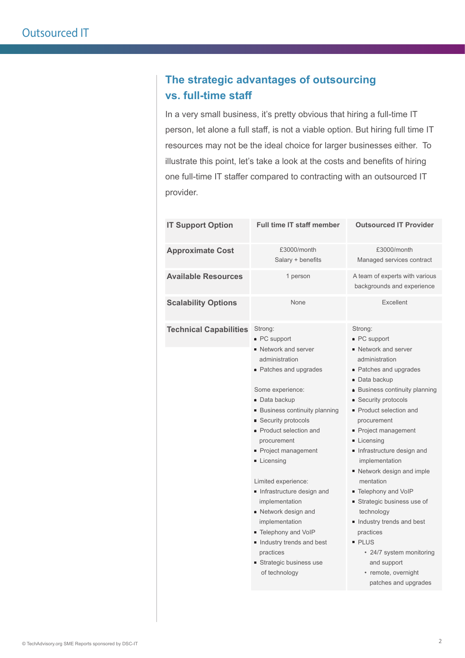### **The strategic advantages of outsourcing vs. full-time staff**

In a very small business, it's pretty obvious that hiring a full-time IT person, let alone a full staff, is not a viable option. But hiring full time IT resources may not be the ideal choice for larger businesses either. To illustrate this point, let's take a look at the costs and benefits of hiring one full-time IT staffer compared to contracting with an outsourced IT provider.

| <b>IT Support Option</b>      | <b>Full time IT staff member</b>                                                                                                                                                                                                                                                                                                                                                                                                                                                                                 | <b>Outsourced IT Provider</b>                                                                                                                                                                                                                                                                                                                                                                                                                                                                                                                                           |
|-------------------------------|------------------------------------------------------------------------------------------------------------------------------------------------------------------------------------------------------------------------------------------------------------------------------------------------------------------------------------------------------------------------------------------------------------------------------------------------------------------------------------------------------------------|-------------------------------------------------------------------------------------------------------------------------------------------------------------------------------------------------------------------------------------------------------------------------------------------------------------------------------------------------------------------------------------------------------------------------------------------------------------------------------------------------------------------------------------------------------------------------|
| <b>Approximate Cost</b>       | £3000/month<br>Salary + benefits                                                                                                                                                                                                                                                                                                                                                                                                                                                                                 | £3000/month<br>Managed services contract                                                                                                                                                                                                                                                                                                                                                                                                                                                                                                                                |
| <b>Available Resources</b>    | 1 person                                                                                                                                                                                                                                                                                                                                                                                                                                                                                                         | A team of experts with various<br>backgrounds and experience                                                                                                                                                                                                                                                                                                                                                                                                                                                                                                            |
| <b>Scalability Options</b>    | None                                                                                                                                                                                                                                                                                                                                                                                                                                                                                                             | Excellent                                                                                                                                                                                                                                                                                                                                                                                                                                                                                                                                                               |
| <b>Technical Capabilities</b> | Strong:<br>■ PC support<br><b>Network and server</b><br>administration<br>• Patches and upgrades<br>Some experience:<br>Data backup<br><b>Business continuity planning</b><br><b>Security protocols</b><br>Product selection and<br>procurement<br>Project management<br>Licensing<br>Limited experience:<br>Infrastructure design and<br>implementation<br>■ Network design and<br>implementation<br>■ Telephony and VoIP<br>Industry trends and best<br>practices<br>■ Strategic business use<br>of technology | Strong:<br>■ PC support<br>• Network and server<br>administration<br>• Patches and upgrades<br>■ Data backup<br><b>Business continuity planning</b><br>■ Security protocols<br>• Product selection and<br>procurement<br>Project management<br>Licensing<br>Infrastructure design and<br>implementation<br>■ Network design and imple<br>mentation<br>■ Telephony and VoIP<br>Strategic business use of<br>technology<br>Industry trends and best<br>practices<br><b>PLUS</b><br>• 24/7 system monitoring<br>and support<br>• remote, overnight<br>patches and upgrades |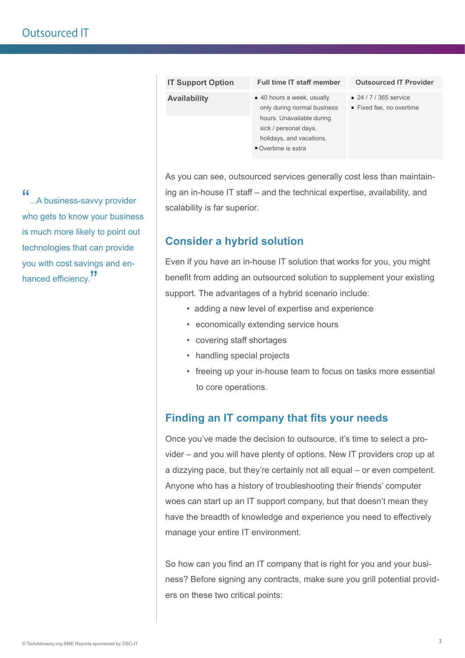| <b>IT Support Option</b> | <b>Full time IT staff member</b>                                                                                                                                   | <b>Outsourced IT Provider</b>                    |
|--------------------------|--------------------------------------------------------------------------------------------------------------------------------------------------------------------|--------------------------------------------------|
| <b>Availability</b>      | ■ 40 hours a week, usually<br>only during normal business<br>hours. Unavailable during<br>sick / personal days,<br>holidays, and vacations.<br>■ Overtime is extra | ■ 24 / 7 / 365 service<br>Fixed fee, no overtime |
|                          |                                                                                                                                                                    |                                                  |

As you can see, outsourced services generally cost less than maintaining an in-house IT staff – and the technical expertise, availability, and scalability is far superior.

#### **Consider a hybrid solution**

Even if you have an in-house IT solution that works for you, you might benefit from adding an outsourced solution to supplement your existing support. The advantages of a hybrid scenario include:

- adding a new level of expertise and experience
- economically extending service hours
- covering staff shortages
- handling special projects
- freeing up your in-house team to focus on tasks more essential to core operations.

#### **Finding an IT company that fits your needs**

Once you've made the decision to outsource, it's time to select a provider – and you will have plenty of options. New IT providers crop up at a dizzying pace, but they're certainly not all equal – or even competent. Anyone who has a history of troubleshooting their friends' computer woes can start up an IT support company, but that doesn't mean they have the breadth of knowledge and experience you need to effectively manage your entire IT environment.

So how can you find an IT company that is right for you and your business? Before signing any contracts, make sure you grill potential providers on these two critical points:

"...A business-savvy provider who gets to know your business is much more likely to point out technologies that can provide you with cost savings and enhanced efficiency.<sup>"</sup>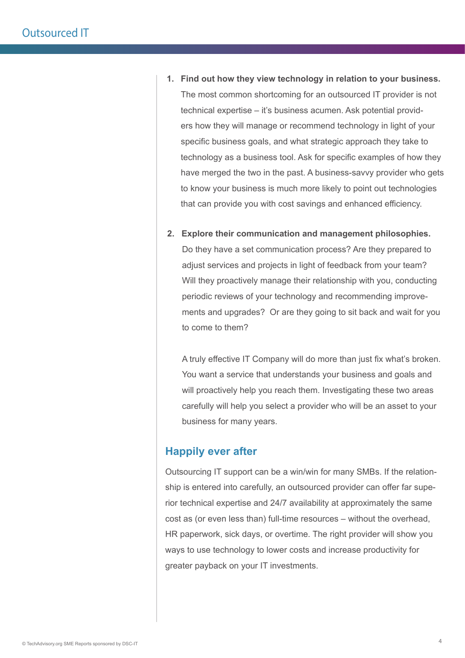- **1. Find out how they view technology in relation to your business.** The most common shortcoming for an outsourced IT provider is not technical expertise – it's business acumen. Ask potential providers how they will manage or recommend technology in light of your specific business goals, and what strategic approach they take to technology as a business tool. Ask for specific examples of how they have merged the two in the past. A business-savvy provider who gets to know your business is much more likely to point out technologies that can provide you with cost savings and enhanced efficiency.
- **2. Explore their communication and management philosophies.** Do they have a set communication process? Are they prepared to adjust services and projects in light of feedback from your team? Will they proactively manage their relationship with you, conducting periodic reviews of your technology and recommending improvements and upgrades? Or are they going to sit back and wait for you to come to them?

A truly effective IT Company will do more than just fix what's broken. You want a service that understands your business and goals and will proactively help you reach them. Investigating these two areas carefully will help you select a provider who will be an asset to your business for many years.

#### **Happily ever after**

Outsourcing IT support can be a win/win for many SMBs. If the relationship is entered into carefully, an outsourced provider can offer far superior technical expertise and 24/7 availability at approximately the same cost as (or even less than) full-time resources – without the overhead, HR paperwork, sick days, or overtime. The right provider will show you ways to use technology to lower costs and increase productivity for greater payback on your IT investments.